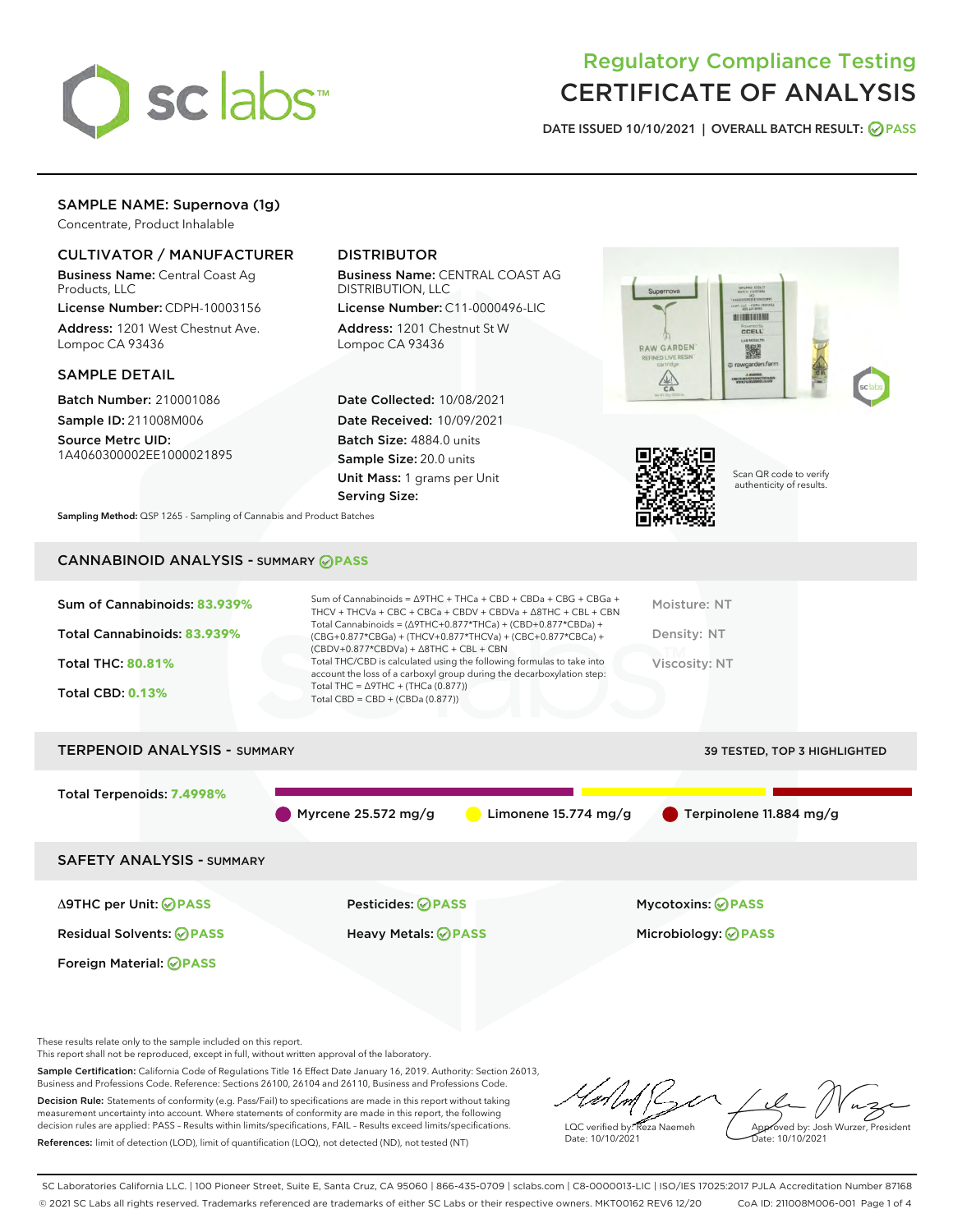

# Regulatory Compliance Testing CERTIFICATE OF ANALYSIS

DATE ISSUED 10/10/2021 | OVERALL BATCH RESULT: @ PASS

## SAMPLE NAME: Supernova (1g)

Concentrate, Product Inhalable

## CULTIVATOR / MANUFACTURER

Business Name: Central Coast Ag Products, LLC

License Number: CDPH-10003156 Address: 1201 West Chestnut Ave. Lompoc CA 93436

### SAMPLE DETAIL

Batch Number: 210001086 Sample ID: 211008M006

Source Metrc UID: 1A4060300002EE1000021895

## DISTRIBUTOR

Business Name: CENTRAL COAST AG DISTRIBUTION, LLC

License Number: C11-0000496-LIC Address: 1201 Chestnut St W Lompoc CA 93436

Date Collected: 10/08/2021 Date Received: 10/09/2021 Batch Size: 4884.0 units Sample Size: 20.0 units Unit Mass: 1 grams per Unit Serving Size:





Scan QR code to verify authenticity of results.

Sampling Method: QSP 1265 - Sampling of Cannabis and Product Batches

## CANNABINOID ANALYSIS - SUMMARY **PASS**

| Sum of Cannabinoids: 83.939%<br>Total Cannabinoids: 83.939%<br><b>Total THC: 80.81%</b><br><b>Total CBD: 0.13%</b> | Sum of Cannabinoids = $\triangle$ 9THC + THCa + CBD + CBDa + CBG + CBGa +<br>THCV + THCVa + CBC + CBCa + CBDV + CBDVa + A8THC + CBL + CBN<br>Total Cannabinoids = $(\Delta$ 9THC+0.877*THCa) + (CBD+0.877*CBDa) +<br>(CBG+0.877*CBGa) + (THCV+0.877*THCVa) + (CBC+0.877*CBCa) +<br>$(CBDV+0.877*CBDVa) + \Delta 8THC + CBL + CBN$<br>Total THC/CBD is calculated using the following formulas to take into<br>account the loss of a carboxyl group during the decarboxylation step:<br>Total THC = $\triangle$ 9THC + (THCa (0.877))<br>Total CBD = $CBD + (CBDa (0.877))$ | Moisture: NT<br>Density: NT<br>Viscosity: NT |
|--------------------------------------------------------------------------------------------------------------------|----------------------------------------------------------------------------------------------------------------------------------------------------------------------------------------------------------------------------------------------------------------------------------------------------------------------------------------------------------------------------------------------------------------------------------------------------------------------------------------------------------------------------------------------------------------------------|----------------------------------------------|
| <b>TERPENOID ANALYSIS - SUMMARY</b>                                                                                |                                                                                                                                                                                                                                                                                                                                                                                                                                                                                                                                                                            | 39 TESTED, TOP 3 HIGHLIGHTED                 |
| Total Terpenoids: 7.4998%                                                                                          | Myrcene $25.572$ mg/g<br>Limonene $15.774$ mg/g                                                                                                                                                                                                                                                                                                                                                                                                                                                                                                                            | Terpinolene 11.884 mg/g                      |
| <b>SAFETY ANALYSIS - SUMMARY</b>                                                                                   |                                                                                                                                                                                                                                                                                                                                                                                                                                                                                                                                                                            |                                              |
| ∆9THC per Unit: ⊘PASS                                                                                              | Pesticides: ⊘PASS                                                                                                                                                                                                                                                                                                                                                                                                                                                                                                                                                          | <b>Mycotoxins: ⊘PASS</b>                     |

Residual Solvents: **PASS** Heavy Metals: **PASS** Microbiology: **PASS**

Foreign Material: **PASS**

These results relate only to the sample included on this report.

This report shall not be reproduced, except in full, without written approval of the laboratory.

Sample Certification: California Code of Regulations Title 16 Effect Date January 16, 2019. Authority: Section 26013, Business and Professions Code. Reference: Sections 26100, 26104 and 26110, Business and Professions Code. Decision Rule: Statements of conformity (e.g. Pass/Fail) to specifications are made in this report without taking

measurement uncertainty into account. Where statements of conformity are made in this report, the following decision rules are applied: PASS – Results within limits/specifications, FAIL – Results exceed limits/specifications. References: limit of detection (LOD), limit of quantification (LOQ), not detected (ND), not tested (NT)

LQC verified by: Reza Naemeh Date: 10/10/2021 Approved by: Josh Wurzer, President ate: 10/10/2021

SC Laboratories California LLC. | 100 Pioneer Street, Suite E, Santa Cruz, CA 95060 | 866-435-0709 | sclabs.com | C8-0000013-LIC | ISO/IES 17025:2017 PJLA Accreditation Number 87168 © 2021 SC Labs all rights reserved. Trademarks referenced are trademarks of either SC Labs or their respective owners. MKT00162 REV6 12/20 CoA ID: 211008M006-001 Page 1 of 4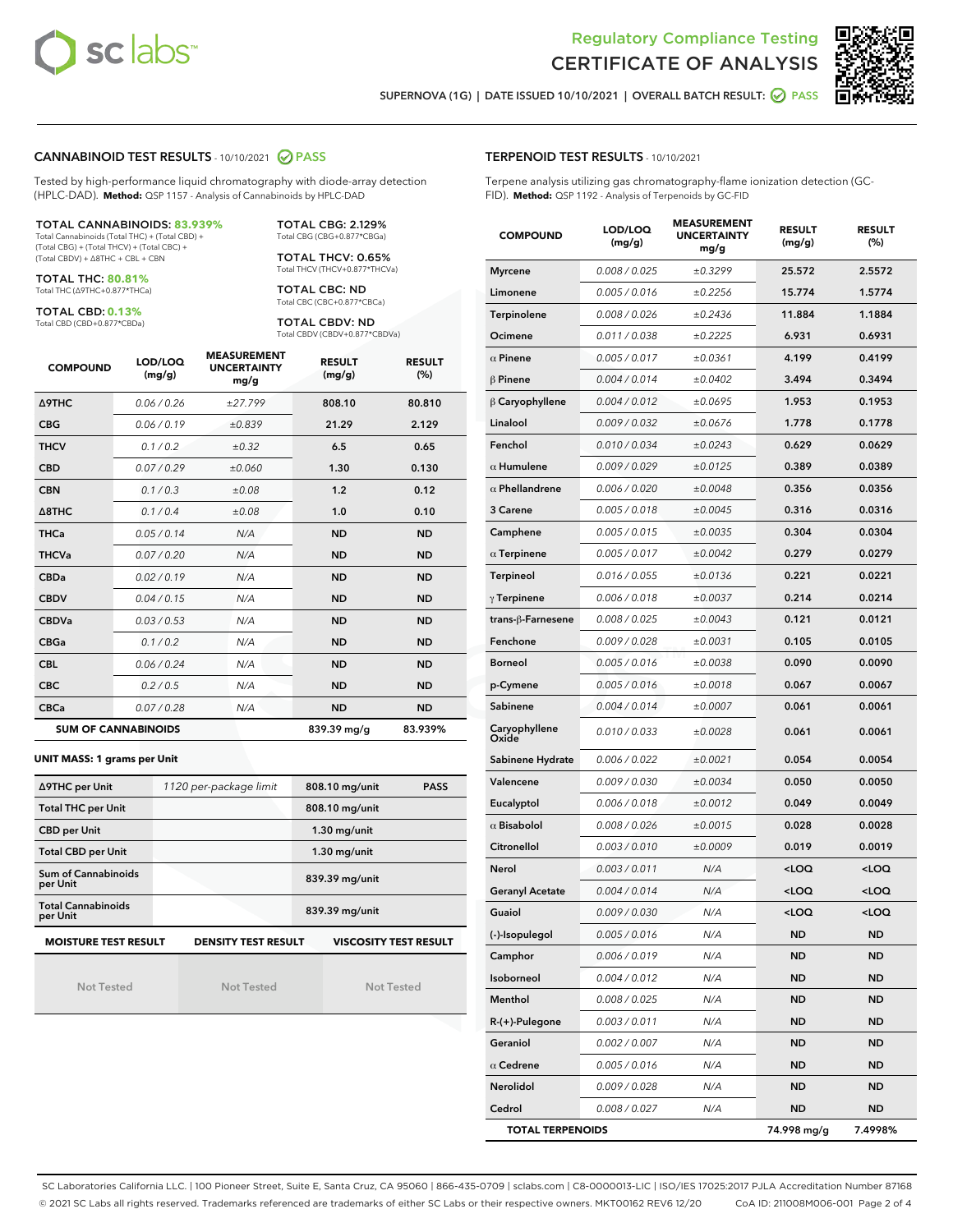



SUPERNOVA (1G) | DATE ISSUED 10/10/2021 | OVERALL BATCH RESULT: @ PASS

#### CANNABINOID TEST RESULTS - 10/10/2021 2 PASS

Tested by high-performance liquid chromatography with diode-array detection (HPLC-DAD). **Method:** QSP 1157 - Analysis of Cannabinoids by HPLC-DAD

#### TOTAL CANNABINOIDS: **83.939%**

Total Cannabinoids (Total THC) + (Total CBD) + (Total CBG) + (Total THCV) + (Total CBC) + (Total CBDV) + ∆8THC + CBL + CBN

TOTAL THC: **80.81%** Total THC (∆9THC+0.877\*THCa)

TOTAL CBD: **0.13%**

Total CBD (CBD+0.877\*CBDa)

TOTAL CBG: 2.129% Total CBG (CBG+0.877\*CBGa)

TOTAL THCV: 0.65% Total THCV (THCV+0.877\*THCVa)

TOTAL CBC: ND Total CBC (CBC+0.877\*CBCa)

TOTAL CBDV: ND Total CBDV (CBDV+0.877\*CBDVa)

| <b>COMPOUND</b>  | LOD/LOQ<br>(mg/g)          | <b>MEASUREMENT</b><br><b>UNCERTAINTY</b><br>mg/g | <b>RESULT</b><br>(mg/g) | <b>RESULT</b><br>(%) |
|------------------|----------------------------|--------------------------------------------------|-------------------------|----------------------|
| <b>A9THC</b>     | 0.06/0.26                  | ±27.799                                          | 808.10                  | 80.810               |
| <b>CBG</b>       | 0.06/0.19                  | ±0.839                                           | 21.29                   | 2.129                |
| <b>THCV</b>      | 0.1 / 0.2                  | ±0.32                                            | 6.5                     | 0.65                 |
| <b>CBD</b>       | 0.07/0.29                  | ±0.060                                           | 1.30                    | 0.130                |
| <b>CBN</b>       | 0.1/0.3                    | ±0.08                                            | 1.2                     | 0.12                 |
| $\triangle$ 8THC | 0.1/0.4                    | ±0.08                                            | 1.0                     | 0.10                 |
| <b>THCa</b>      | 0.05/0.14                  | N/A                                              | <b>ND</b>               | <b>ND</b>            |
| <b>THCVa</b>     | 0.07/0.20                  | N/A                                              | <b>ND</b>               | <b>ND</b>            |
| <b>CBDa</b>      | 0.02/0.19                  | N/A                                              | <b>ND</b>               | <b>ND</b>            |
| <b>CBDV</b>      | 0.04/0.15                  | N/A                                              | <b>ND</b>               | <b>ND</b>            |
| <b>CBDVa</b>     | 0.03/0.53                  | N/A                                              | <b>ND</b>               | <b>ND</b>            |
| <b>CBGa</b>      | 0.1 / 0.2                  | N/A                                              | <b>ND</b>               | <b>ND</b>            |
| <b>CBL</b>       | 0.06 / 0.24                | N/A                                              | <b>ND</b>               | <b>ND</b>            |
| <b>CBC</b>       | 0.2 / 0.5                  | N/A                                              | <b>ND</b>               | <b>ND</b>            |
| <b>CBCa</b>      | 0.07 / 0.28                | N/A                                              | <b>ND</b>               | <b>ND</b>            |
|                  | <b>SUM OF CANNABINOIDS</b> |                                                  | 839.39 mg/g             | 83.939%              |

**UNIT MASS: 1 grams per Unit**

| ∆9THC per Unit                        | 1120 per-package limit     | 808.10 mg/unit<br><b>PASS</b> |
|---------------------------------------|----------------------------|-------------------------------|
| <b>Total THC per Unit</b>             |                            | 808.10 mg/unit                |
| <b>CBD per Unit</b>                   |                            | $1.30$ mg/unit                |
| <b>Total CBD per Unit</b>             |                            | $1.30$ mg/unit                |
| Sum of Cannabinoids<br>per Unit       |                            | 839.39 mg/unit                |
| <b>Total Cannabinoids</b><br>per Unit |                            | 839.39 mg/unit                |
| <b>MOISTURE TEST RESULT</b>           | <b>DENSITY TEST RESULT</b> | <b>VISCOSITY TEST RESULT</b>  |

Not Tested

| <b>Not Tested</b> |  |  |  |
|-------------------|--|--|--|
|                   |  |  |  |

Not Tested

## TERPENOID TEST RESULTS - 10/10/2021

Terpene analysis utilizing gas chromatography-flame ionization detection (GC-FID). **Method:** QSP 1192 - Analysis of Terpenoids by GC-FID

| <b>COMPOUND</b>         | LOD/LOQ<br>(mg/g) | <b>MEASUREMENT</b><br><b>UNCERTAINTY</b><br>mg/g | <b>RESULT</b><br>(mg/g)                         | <b>RESULT</b><br>(%) |
|-------------------------|-------------------|--------------------------------------------------|-------------------------------------------------|----------------------|
| <b>Myrcene</b>          | 0.008 / 0.025     | ±0.3299                                          | 25.572                                          | 2.5572               |
| Limonene                | 0.005 / 0.016     | ±0.2256                                          | 15.774                                          | 1.5774               |
| Terpinolene             | 0.008 / 0.026     | ±0.2436                                          | 11.884                                          | 1.1884               |
| Ocimene                 | 0.011 / 0.038     | ±0.2225                                          | 6.931                                           | 0.6931               |
| $\alpha$ Pinene         | 0.005 / 0.017     | ±0.0361                                          | 4.199                                           | 0.4199               |
| $\beta$ Pinene          | 0.004 / 0.014     | ±0.0402                                          | 3.494                                           | 0.3494               |
| $\beta$ Caryophyllene   | 0.004 / 0.012     | ±0.0695                                          | 1.953                                           | 0.1953               |
| Linalool                | 0.009 / 0.032     | ±0.0676                                          | 1.778                                           | 0.1778               |
| Fenchol                 | 0.010 / 0.034     | ±0.0243                                          | 0.629                                           | 0.0629               |
| $\alpha$ Humulene       | 0.009/0.029       | ±0.0125                                          | 0.389                                           | 0.0389               |
| $\alpha$ Phellandrene   | 0.006 / 0.020     | ±0.0048                                          | 0.356                                           | 0.0356               |
| 3 Carene                | 0.005 / 0.018     | ±0.0045                                          | 0.316                                           | 0.0316               |
| Camphene                | 0.005 / 0.015     | ±0.0035                                          | 0.304                                           | 0.0304               |
| $\alpha$ Terpinene      | 0.005 / 0.017     | ±0.0042                                          | 0.279                                           | 0.0279               |
| Terpineol               | 0.016 / 0.055     | ±0.0136                                          | 0.221                                           | 0.0221               |
| $\gamma$ Terpinene      | 0.006 / 0.018     | ±0.0037                                          | 0.214                                           | 0.0214               |
| trans-ß-Farnesene       | 0.008 / 0.025     | ±0.0043                                          | 0.121                                           | 0.0121               |
| Fenchone                | 0.009 / 0.028     | ±0.0031                                          | 0.105                                           | 0.0105               |
| <b>Borneol</b>          | 0.005 / 0.016     | ±0.0038                                          | 0.090                                           | 0.0090               |
| p-Cymene                | 0.005 / 0.016     | ±0.0018                                          | 0.067                                           | 0.0067               |
| Sabinene                | 0.004 / 0.014     | ±0.0007                                          | 0.061                                           | 0.0061               |
| Caryophyllene<br>Oxide  | 0.010 / 0.033     | ±0.0028                                          | 0.061                                           | 0.0061               |
| Sabinene Hydrate        | 0.006 / 0.022     | ±0.0021                                          | 0.054                                           | 0.0054               |
| Valencene               | 0.009 / 0.030     | ±0.0034                                          | 0.050                                           | 0.0050               |
| Eucalyptol              | 0.006 / 0.018     | ±0.0012                                          | 0.049                                           | 0.0049               |
| $\alpha$ Bisabolol      | 0.008 / 0.026     | ±0.0015                                          | 0.028                                           | 0.0028               |
| Citronellol             | 0.003 / 0.010     | ±0.0009                                          | 0.019                                           | 0.0019               |
| Nerol                   | 0.003 / 0.011     | N/A                                              | <loq< th=""><th><loq< th=""></loq<></th></loq<> | <loq< th=""></loq<>  |
| <b>Geranyl Acetate</b>  | 0.004 / 0.014     | N/A                                              | <loq< th=""><th><loq< th=""></loq<></th></loq<> | <loq< th=""></loq<>  |
| Guaiol                  | 0.009 / 0.030     | N/A                                              | <loq< th=""><th><loq< th=""></loq<></th></loq<> | <loq< th=""></loq<>  |
| (-)-Isopulegol          | 0.005 / 0.016     | N/A                                              | ND                                              | ND                   |
| Camphor                 | 0.006 / 0.019     | N/A                                              | ND                                              | <b>ND</b>            |
| Isoborneol              | 0.004 / 0.012     | N/A                                              | ND                                              | <b>ND</b>            |
| Menthol                 | 0.008 / 0.025     | N/A                                              | ND                                              | <b>ND</b>            |
| R-(+)-Pulegone          | 0.003 / 0.011     | N/A                                              | ND                                              | ND                   |
| Geraniol                | 0.002 / 0.007     | N/A                                              | ND                                              | ND                   |
| $\alpha$ Cedrene        | 0.005 / 0.016     | N/A                                              | ND                                              | ND                   |
| Nerolidol               | 0.009 / 0.028     | N/A                                              | ND                                              | <b>ND</b>            |
| Cedrol                  | 0.008 / 0.027     | N/A                                              | ND                                              | ND                   |
| <b>TOTAL TERPENOIDS</b> |                   |                                                  | 74.998 mg/g                                     | 7.4998%              |

SC Laboratories California LLC. | 100 Pioneer Street, Suite E, Santa Cruz, CA 95060 | 866-435-0709 | sclabs.com | C8-0000013-LIC | ISO/IES 17025:2017 PJLA Accreditation Number 87168 © 2021 SC Labs all rights reserved. Trademarks referenced are trademarks of either SC Labs or their respective owners. MKT00162 REV6 12/20 CoA ID: 211008M006-001 Page 2 of 4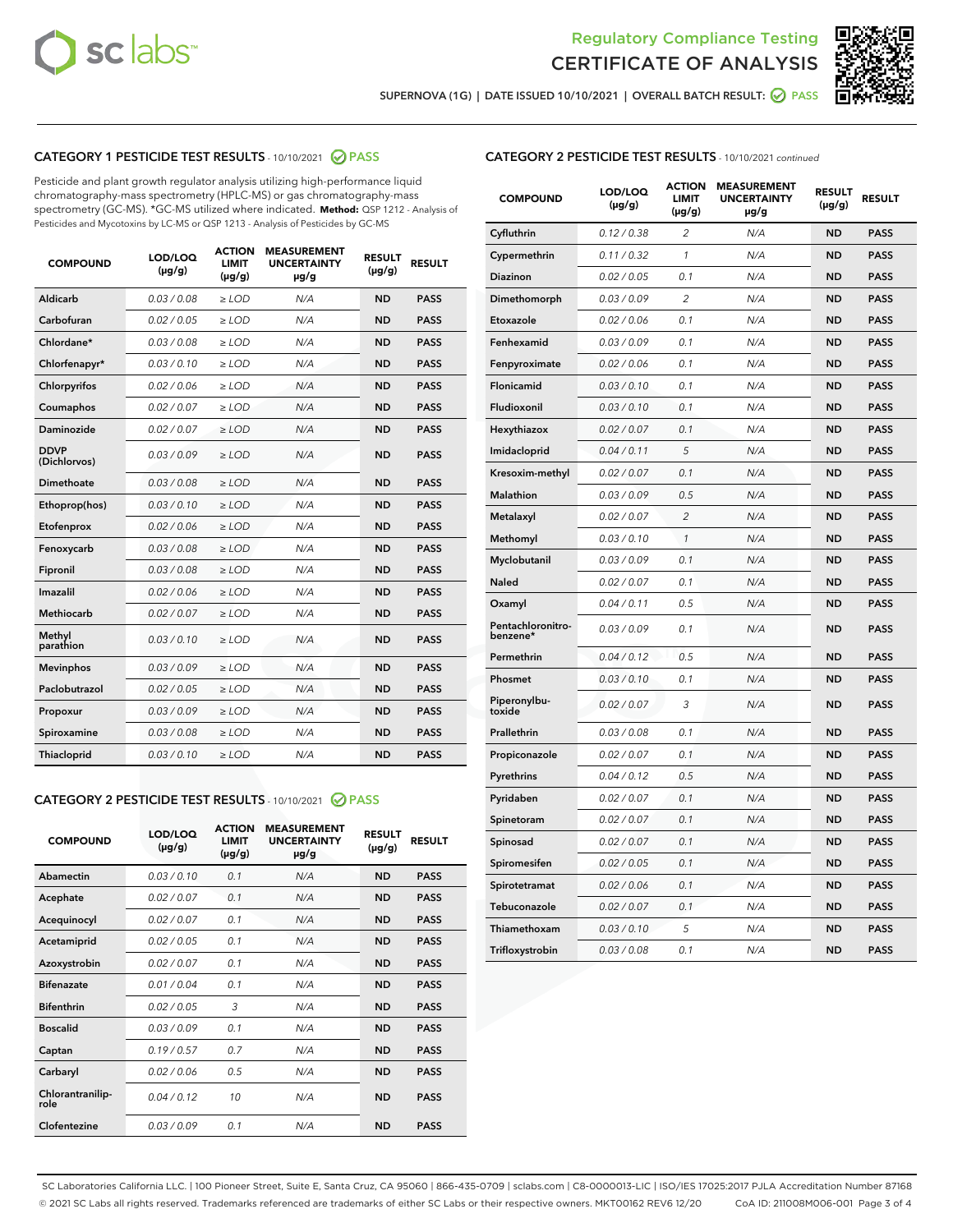



SUPERNOVA (1G) | DATE ISSUED 10/10/2021 | OVERALL BATCH RESULT: 2 PASS

## CATEGORY 1 PESTICIDE TEST RESULTS - 10/10/2021 2 PASS

Pesticide and plant growth regulator analysis utilizing high-performance liquid chromatography-mass spectrometry (HPLC-MS) or gas chromatography-mass spectrometry (GC-MS). \*GC-MS utilized where indicated. **Method:** QSP 1212 - Analysis of Pesticides and Mycotoxins by LC-MS or QSP 1213 - Analysis of Pesticides by GC-MS

| <b>COMPOUND</b>             | LOD/LOQ<br>$(\mu g/g)$ | <b>ACTION</b><br><b>LIMIT</b><br>$(\mu g/g)$ | <b>MEASUREMENT</b><br><b>UNCERTAINTY</b><br>$\mu$ g/g | <b>RESULT</b><br>$(\mu g/g)$ | <b>RESULT</b> |
|-----------------------------|------------------------|----------------------------------------------|-------------------------------------------------------|------------------------------|---------------|
| Aldicarb                    | 0.03/0.08              | $\ge$ LOD                                    | N/A                                                   | <b>ND</b>                    | <b>PASS</b>   |
| Carbofuran                  | 0.02 / 0.05            | $\ge$ LOD                                    | N/A                                                   | <b>ND</b>                    | <b>PASS</b>   |
| Chlordane*                  | 0.03 / 0.08            | $\ge$ LOD                                    | N/A                                                   | <b>ND</b>                    | <b>PASS</b>   |
| Chlorfenapyr*               | 0.03/0.10              | $\ge$ LOD                                    | N/A                                                   | <b>ND</b>                    | <b>PASS</b>   |
| Chlorpyrifos                | 0.02 / 0.06            | $\ge$ LOD                                    | N/A                                                   | <b>ND</b>                    | <b>PASS</b>   |
| Coumaphos                   | 0.02 / 0.07            | $\ge$ LOD                                    | N/A                                                   | <b>ND</b>                    | <b>PASS</b>   |
| Daminozide                  | 0.02 / 0.07            | $\ge$ LOD                                    | N/A                                                   | <b>ND</b>                    | <b>PASS</b>   |
| <b>DDVP</b><br>(Dichlorvos) | 0.03/0.09              | $>$ LOD                                      | N/A                                                   | <b>ND</b>                    | <b>PASS</b>   |
| Dimethoate                  | 0.03 / 0.08            | $\ge$ LOD                                    | N/A                                                   | <b>ND</b>                    | <b>PASS</b>   |
| Ethoprop(hos)               | 0.03/0.10              | $\ge$ LOD                                    | N/A                                                   | <b>ND</b>                    | <b>PASS</b>   |
| Etofenprox                  | 0.02/0.06              | $>$ LOD                                      | N/A                                                   | <b>ND</b>                    | <b>PASS</b>   |
| Fenoxycarb                  | 0.03/0.08              | $\ge$ LOD                                    | N/A                                                   | <b>ND</b>                    | <b>PASS</b>   |
| Fipronil                    | 0.03/0.08              | $>$ LOD                                      | N/A                                                   | <b>ND</b>                    | <b>PASS</b>   |
| Imazalil                    | 0.02 / 0.06            | $\ge$ LOD                                    | N/A                                                   | <b>ND</b>                    | <b>PASS</b>   |
| Methiocarb                  | 0.02 / 0.07            | $\ge$ LOD                                    | N/A                                                   | <b>ND</b>                    | <b>PASS</b>   |
| Methyl<br>parathion         | 0.03/0.10              | $>$ LOD                                      | N/A                                                   | <b>ND</b>                    | <b>PASS</b>   |
| <b>Mevinphos</b>            | 0.03/0.09              | $>$ LOD                                      | N/A                                                   | <b>ND</b>                    | <b>PASS</b>   |
| Paclobutrazol               | 0.02 / 0.05            | $\ge$ LOD                                    | N/A                                                   | <b>ND</b>                    | <b>PASS</b>   |
| Propoxur                    | 0.03/0.09              | $\ge$ LOD                                    | N/A                                                   | <b>ND</b>                    | <b>PASS</b>   |
| Spiroxamine                 | 0.03 / 0.08            | $\ge$ LOD                                    | N/A                                                   | <b>ND</b>                    | <b>PASS</b>   |
| Thiacloprid                 | 0.03/0.10              | $\ge$ LOD                                    | N/A                                                   | <b>ND</b>                    | <b>PASS</b>   |

#### CATEGORY 2 PESTICIDE TEST RESULTS - 10/10/2021 @ PASS

| <b>COMPOUND</b>          | LOD/LOQ<br>$(\mu g/g)$ | <b>ACTION</b><br><b>LIMIT</b><br>$(\mu g/g)$ | <b>MEASUREMENT</b><br><b>UNCERTAINTY</b><br>$\mu$ g/g | <b>RESULT</b><br>$(\mu g/g)$ | <b>RESULT</b> |
|--------------------------|------------------------|----------------------------------------------|-------------------------------------------------------|------------------------------|---------------|
| Abamectin                | 0.03/0.10              | 0.1                                          | N/A                                                   | <b>ND</b>                    | <b>PASS</b>   |
| Acephate                 | 0.02/0.07              | 0.1                                          | N/A                                                   | <b>ND</b>                    | <b>PASS</b>   |
| Acequinocyl              | 0.02/0.07              | 0.1                                          | N/A                                                   | <b>ND</b>                    | <b>PASS</b>   |
| Acetamiprid              | 0.02/0.05              | 0.1                                          | N/A                                                   | <b>ND</b>                    | <b>PASS</b>   |
| Azoxystrobin             | 0.02/0.07              | 0.1                                          | N/A                                                   | <b>ND</b>                    | <b>PASS</b>   |
| <b>Bifenazate</b>        | 0.01/0.04              | 0.1                                          | N/A                                                   | <b>ND</b>                    | <b>PASS</b>   |
| <b>Bifenthrin</b>        | 0.02 / 0.05            | 3                                            | N/A                                                   | <b>ND</b>                    | <b>PASS</b>   |
| <b>Boscalid</b>          | 0.03/0.09              | 0.1                                          | N/A                                                   | <b>ND</b>                    | <b>PASS</b>   |
| Captan                   | 0.19/0.57              | 0.7                                          | N/A                                                   | <b>ND</b>                    | <b>PASS</b>   |
| Carbaryl                 | 0.02/0.06              | 0.5                                          | N/A                                                   | <b>ND</b>                    | <b>PASS</b>   |
| Chlorantranilip-<br>role | 0.04/0.12              | 10                                           | N/A                                                   | <b>ND</b>                    | <b>PASS</b>   |
| Clofentezine             | 0.03/0.09              | 0.1                                          | N/A                                                   | <b>ND</b>                    | <b>PASS</b>   |

| <b>CATEGORY 2 PESTICIDE TEST RESULTS</b> - 10/10/2021 continued |
|-----------------------------------------------------------------|
|-----------------------------------------------------------------|

| <b>COMPOUND</b>               | LOD/LOQ<br>(µg/g) | <b>ACTION</b><br><b>LIMIT</b><br>(µg/g) | <b>MEASUREMENT</b><br><b>UNCERTAINTY</b><br>µg/g | <b>RESULT</b><br>(µg/g) | <b>RESULT</b> |
|-------------------------------|-------------------|-----------------------------------------|--------------------------------------------------|-------------------------|---------------|
| Cyfluthrin                    | 0.12 / 0.38       | $\overline{c}$                          | N/A                                              | <b>ND</b>               | <b>PASS</b>   |
| Cypermethrin                  | 0.11 / 0.32       | $\mathcal{I}$                           | N/A                                              | <b>ND</b>               | <b>PASS</b>   |
| <b>Diazinon</b>               | 0.02 / 0.05       | 0.1                                     | N/A                                              | <b>ND</b>               | <b>PASS</b>   |
| Dimethomorph                  | 0.03 / 0.09       | 2                                       | N/A                                              | <b>ND</b>               | <b>PASS</b>   |
| Etoxazole                     | 0.02 / 0.06       | 0.1                                     | N/A                                              | <b>ND</b>               | <b>PASS</b>   |
| Fenhexamid                    | 0.03 / 0.09       | 0.1                                     | N/A                                              | <b>ND</b>               | <b>PASS</b>   |
| Fenpyroximate                 | 0.02 / 0.06       | 0.1                                     | N/A                                              | <b>ND</b>               | <b>PASS</b>   |
| Flonicamid                    | 0.03 / 0.10       | 0.1                                     | N/A                                              | <b>ND</b>               | <b>PASS</b>   |
| Fludioxonil                   | 0.03/0.10         | 0.1                                     | N/A                                              | <b>ND</b>               | <b>PASS</b>   |
| Hexythiazox                   | 0.02 / 0.07       | 0.1                                     | N/A                                              | <b>ND</b>               | <b>PASS</b>   |
| Imidacloprid                  | 0.04 / 0.11       | 5                                       | N/A                                              | <b>ND</b>               | <b>PASS</b>   |
| Kresoxim-methyl               | 0.02 / 0.07       | 0.1                                     | N/A                                              | <b>ND</b>               | <b>PASS</b>   |
| <b>Malathion</b>              | 0.03 / 0.09       | 0.5                                     | N/A                                              | <b>ND</b>               | <b>PASS</b>   |
| Metalaxyl                     | 0.02 / 0.07       | $\overline{c}$                          | N/A                                              | <b>ND</b>               | <b>PASS</b>   |
| Methomyl                      | 0.03 / 0.10       | 1                                       | N/A                                              | <b>ND</b>               | <b>PASS</b>   |
| Myclobutanil                  | 0.03 / 0.09       | 0.1                                     | N/A                                              | <b>ND</b>               | <b>PASS</b>   |
| Naled                         | 0.02 / 0.07       | 0.1                                     | N/A                                              | <b>ND</b>               | <b>PASS</b>   |
| Oxamyl                        | 0.04 / 0.11       | 0.5                                     | N/A                                              | <b>ND</b>               | <b>PASS</b>   |
| Pentachloronitro-<br>benzene* | 0.03 / 0.09       | 0.1                                     | N/A                                              | <b>ND</b>               | <b>PASS</b>   |
| Permethrin                    | 0.04 / 0.12       | 0.5                                     | N/A                                              | <b>ND</b>               | <b>PASS</b>   |
| Phosmet                       | 0.03 / 0.10       | 0.1                                     | N/A                                              | <b>ND</b>               | <b>PASS</b>   |
| Piperonylbu-<br>toxide        | 0.02 / 0.07       | 3                                       | N/A                                              | <b>ND</b>               | <b>PASS</b>   |
| Prallethrin                   | 0.03 / 0.08       | 0.1                                     | N/A                                              | <b>ND</b>               | <b>PASS</b>   |
| Propiconazole                 | 0.02 / 0.07       | 0.1                                     | N/A                                              | <b>ND</b>               | <b>PASS</b>   |
| Pyrethrins                    | 0.04 / 0.12       | 0.5                                     | N/A                                              | <b>ND</b>               | <b>PASS</b>   |
| Pyridaben                     | 0.02 / 0.07       | 0.1                                     | N/A                                              | <b>ND</b>               | <b>PASS</b>   |
| Spinetoram                    | 0.02 / 0.07       | 0.1                                     | N/A                                              | <b>ND</b>               | <b>PASS</b>   |
| Spinosad                      | 0.02 / 0.07       | 0.1                                     | N/A                                              | <b>ND</b>               | <b>PASS</b>   |
| Spiromesifen                  | 0.02 / 0.05       | 0.1                                     | N/A                                              | <b>ND</b>               | <b>PASS</b>   |
| Spirotetramat                 | 0.02 / 0.06       | 0.1                                     | N/A                                              | <b>ND</b>               | <b>PASS</b>   |
| Tebuconazole                  | 0.02 / 0.07       | 0.1                                     | N/A                                              | <b>ND</b>               | <b>PASS</b>   |
| Thiamethoxam                  | 0.03 / 0.10       | 5                                       | N/A                                              | <b>ND</b>               | <b>PASS</b>   |
| Trifloxystrobin               | 0.03 / 0.08       | 0.1                                     | N/A                                              | <b>ND</b>               | <b>PASS</b>   |

SC Laboratories California LLC. | 100 Pioneer Street, Suite E, Santa Cruz, CA 95060 | 866-435-0709 | sclabs.com | C8-0000013-LIC | ISO/IES 17025:2017 PJLA Accreditation Number 87168 © 2021 SC Labs all rights reserved. Trademarks referenced are trademarks of either SC Labs or their respective owners. MKT00162 REV6 12/20 CoA ID: 211008M006-001 Page 3 of 4